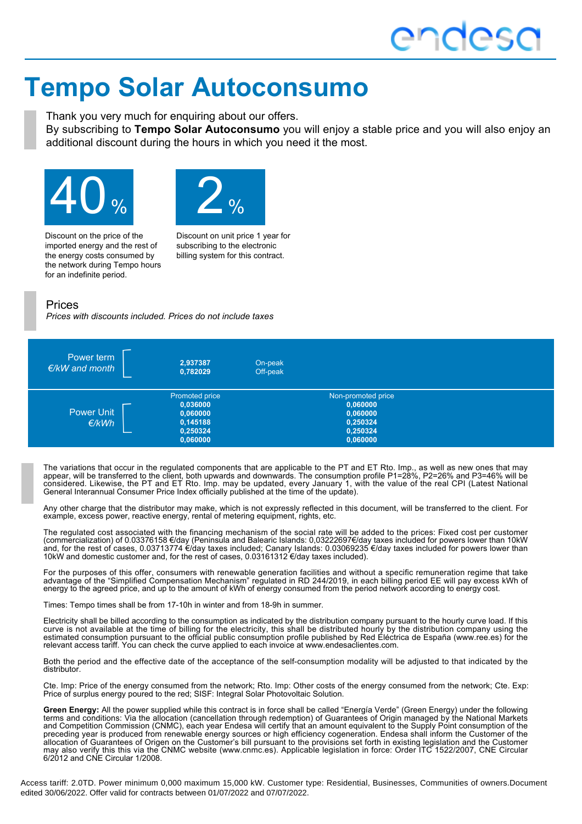# **Tempo Solar Autoconsumo**

Thank you very much for enquiring about our offers.

By subscribing to **Tempo Solar Autoconsumo** you will enjoy a stable price and you will also enjoy an additional discount during the hours in which you need it the most.





Discount on the price of the imported energy and the rest of the energy costs consumed by the network during Tempo hours for an indefinite period.

Discount on unit price 1 year for subscribing to the electronic billing system for this contract.

### Prices

*Prices with discounts included. Prices do not include taxes*



The variations that occur in the regulated components that are applicable to the PT and ET Rto. Imp., as well as new ones that may appear, will be transferred to the client, both upwards and downwards. The consumption profile P1=28%, P2=26% and P3=46% will be considered. Likewise, the PT and ET Rto. Imp. may be updated, every January 1, with the value of the real CPI (Latest National General Interannual Consumer Price Index officially published at the time of the update).

Any other charge that the distributor may make, which is not expressly reflected in this document, will be transferred to the client. For example, excess power, reactive energy, rental of metering equipment, rights, etc.

The regulated cost associated with the financing mechanism of the social rate will be added to the prices: Fixed cost per customer (commercialization) of 0.03376158 €/day (Peninsula and Balearic Islands: 0,03222697€/day taxes included for powers lower than 10kW and, for the rest of cases, 0.03713774 €/day taxes included; Canary Islands: 0.03069235 €/day taxes included for powers lower than 10kW and domestic customer and, for the rest of cases, 0.03161312 €/day taxes included).

For the purposes of this offer, consumers with renewable generation facilities and without a specific remuneration regime that take advantage of the "Simplified Compensation Mechanism" regulated in RD 244/2019, in each billing period EE will pay excess kWh of energy to the agreed price, and up to the amount of kWh of energy consumed from the period network according to energy cost.

Times: Tempo times shall be from 17-10h in winter and from 18-9h in summer.

Electricity shall be billed according to the consumption as indicated by the distribution company pursuant to the hourly curve load. If this curve is not available at the time of billing for the electricity, this shall be distributed hourly by the distribution company using the estimated consumption pursuant to the official public consumption profile published by Red Eléctrica de España (www.ree.es) for the relevant access tariff. You can check the curve applied to each invoice at www.endesaclientes.com.

Both the period and the effective date of the acceptance of the self-consumption modality will be adjusted to that indicated by the distributor.

Cte. Imp: Price of the energy consumed from the network; Rto. Imp: Other costs of the energy consumed from the network; Cte. Exp: Price of surplus energy poured to the red; SISF: Integral Solar Photovoltaic Solution.

**Green Energy:** All the power supplied while this contract is in force shall be called "Energía Verde" (Green Energy) under the following terms and conditions: Via the allocation (cancellation through redemption) of Guarantees of Origin managed by the National Markets and Competition Commission (CNMC), each year Endesa will certify that an amount equivalent to the Supply Point consumption of the preceding year is produced from renewable energy sources or high efficiency cogeneration. Endesa shall inform the Customer of the allocation of Guarantees of Origen on the Customer's bill pursuant to the provisions set forth in existing legislation and the Customer may also verify this this via the CNMC website (www.cnmc.es). Applicable legislation in force: Order ITC 1522/2007, CNE Circular 6/2012 and CNE Circular 1/2008.

Access tariff: 2.0TD. Power minimum 0,000 maximum 15,000 kW. Customer type: Residential, Businesses, Communities of owners.Document edited 30/06/2022. Offer valid for contracts between 01/07/2022 and 07/07/2022.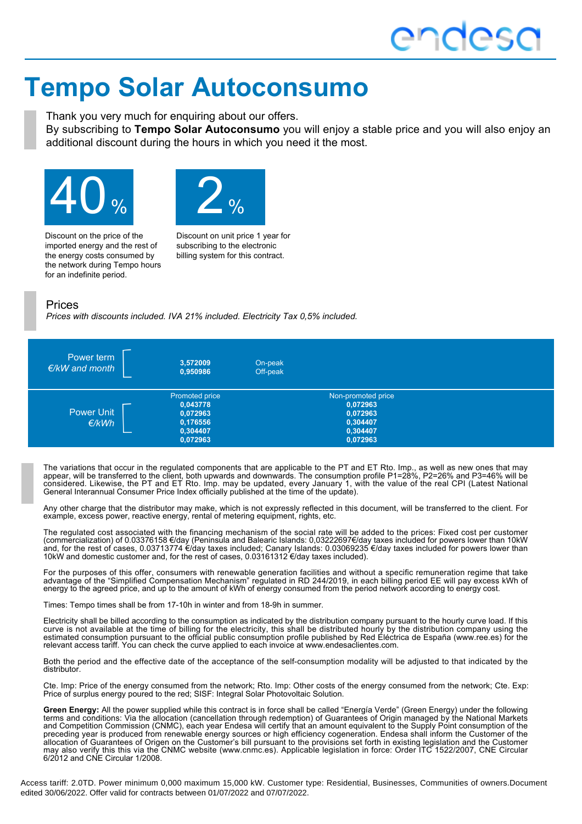# **Tempo Solar Autoconsumo**

Thank you very much for enquiring about our offers.

By subscribing to **Tempo Solar Autoconsumo** you will enjoy a stable price and you will also enjoy an additional discount during the hours in which you need it the most.





Discount on the price of the imported energy and the rest of the energy costs consumed by the network during Tempo hours for an indefinite period.

Discount on unit price 1 year for subscribing to the electronic billing system for this contract.

### Prices

*Prices with discounts included. IVA 21% included. Electricity Tax 0,5% included.*



The variations that occur in the regulated components that are applicable to the PT and ET Rto. Imp., as well as new ones that may appear, will be transferred to the client, both upwards and downwards. The consumption profile P1=28%, P2=26% and P3=46% will be considered. Likewise, the PT and ET Rto. Imp. may be updated, every January 1, with the value of the real CPI (Latest National General Interannual Consumer Price Index officially published at the time of the update).

Any other charge that the distributor may make, which is not expressly reflected in this document, will be transferred to the client. For example, excess power, reactive energy, rental of metering equipment, rights, etc.

The regulated cost associated with the financing mechanism of the social rate will be added to the prices: Fixed cost per customer (commercialization) of 0.03376158 €/day (Peninsula and Balearic Islands: 0,03222697€/day taxes included for powers lower than 10kW and, for the rest of cases, 0.03713774 €/day taxes included; Canary Islands: 0.03069235 €/day taxes included for powers lower than 10kW and domestic customer and, for the rest of cases, 0.03161312 €/day taxes included).

For the purposes of this offer, consumers with renewable generation facilities and without a specific remuneration regime that take advantage of the "Simplified Compensation Mechanism" regulated in RD 244/2019, in each billing period EE will pay excess kWh of energy to the agreed price, and up to the amount of kWh of energy consumed from the period network according to energy cost.

Times: Tempo times shall be from 17-10h in winter and from 18-9h in summer.

Electricity shall be billed according to the consumption as indicated by the distribution company pursuant to the hourly curve load. If this curve is not available at the time of billing for the electricity, this shall be distributed hourly by the distribution company using the estimated consumption pursuant to the official public consumption profile published by Red Eléctrica de España (www.ree.es) for the relevant access tariff. You can check the curve applied to each invoice at www.endesaclientes.com.

Both the period and the effective date of the acceptance of the self-consumption modality will be adjusted to that indicated by the distributor.

Cte. Imp: Price of the energy consumed from the network; Rto. Imp: Other costs of the energy consumed from the network; Cte. Exp: Price of surplus energy poured to the red; SISF: Integral Solar Photovoltaic Solution.

**Green Energy:** All the power supplied while this contract is in force shall be called "Energía Verde" (Green Energy) under the following terms and conditions: Via the allocation (cancellation through redemption) of Guarantees of Origin managed by the National Markets and Competition Commission (CNMC), each year Endesa will certify that an amount equivalent to the Supply Point consumption of the preceding year is produced from renewable energy sources or high efficiency cogeneration. Endesa shall inform the Customer of the allocation of Guarantees of Origen on the Customer's bill pursuant to the provisions set forth in existing legislation and the Customer may also verify this this via the CNMC website (www.cnmc.es). Applicable legislation in force: Order ITC 1522/2007, CNE Circular 6/2012 and CNE Circular 1/2008.

Access tariff: 2.0TD. Power minimum 0,000 maximum 15,000 kW. Customer type: Residential, Businesses, Communities of owners.Document edited 30/06/2022. Offer valid for contracts between 01/07/2022 and 07/07/2022.